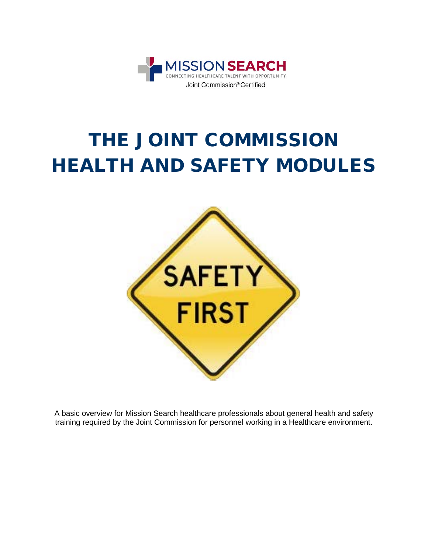

# THE JOINT COMMISSION HEALTH AND SAFETY MODULES



A basic overview for Mission Search healthcare professionals about general health and safety training required by the Joint Commission for personnel working in a Healthcare environment.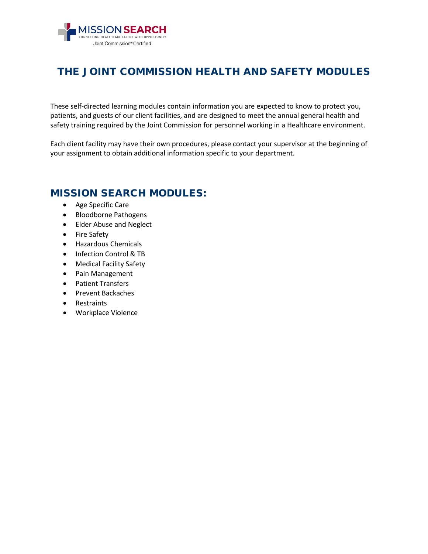

### THE JOINT COMMISSION HEALTH AND SAFETY MODULES

These self-directed learning modules contain information you are expected to know to protect you, patients, and guests of our client facilities, and are designed to meet the annual general health and safety training required by the Joint Commission for personnel working in a Healthcare environment.

Each client facility may have their own procedures, please contact your supervisor at the beginning of your assignment to obtain additional information specific to your department.

### MISSION SEARCH MODULES:

- [Age Specific Care](https://missionsearch.com/wp-content/uploads/2016/09/Age-Specific.pdf)
- [Bloodborne Pathogens](https://missionsearch.com/wp-content/uploads/2016/09/Bloodborne-Pathogens.pdf)
- [Elder Abuse and Neglect](https://missionsearch.com/wp-content/uploads/2016/09/Elder-Abuse-and-Neglect.pdf)
- [Fire Safety](https://missionsearch.com/wp-content/uploads/2016/09/Fire-Safety.pdf)
- [Hazardous Chemicals](https://missionsearch.com/wp-content/uploads/2016/09/HazChem.pdf)
- [Infection Control &](https://missionsearch.com/wp-content/uploads/2016/09/Infection-Control-and-TB.pdf) TB
- [Medical Facility Safety](https://missionsearch.com/wp-content/uploads/2016/09/Medical-Facility-Safety.pdf)
- [Pain Management](https://missionsearch.com/wp-content/uploads/2016/09/Pain-Management.pdf)
- [Patient Transfers](https://missionsearch.com/wp-content/uploads/2016/09/Patient-Transfers.pdf)
- [Prevent Backaches](https://missionsearch.com/wp-content/uploads/2016/09/Prevent-Backaches.pdf)
- [Restraints](https://missionsearch.com/wp-content/uploads/2016/09/Retraints.pdf)
- [Workplace Violence](https://missionsearch.com/wp-content/uploads/2016/09/Workplace-Violence.pdf)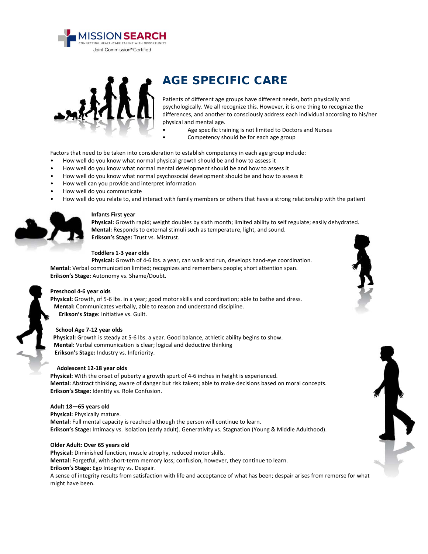



### AGE SPECIFIC CARE

Patients of different age groups have different needs, both physically and psychologically. We all recognize this. However, it is one thing to recognize the differences, and another to consciously address each individual according to his/her physical and mental age.

- Age specific training is not limited to Doctors and Nurses
	- Competency should be for each age group

Factors that need to be taken into consideration to establish competency in each age group include:

- How well do you know what normal physical growth should be and how to assess it
- How well do you know what normal mental development should be and how to assess it
- How well do you know what normal psychosocial development should be and how to assess it
- How well can you provide and interpret information
- How well do you communicate
- How well do you relate to, and interact with family members or others that have a strong relationship with the patient



#### **Infants First year**

**Physical:** Growth rapid; weight doubles by sixth month; limited ability to self regulate; easily dehydrated. **Mental:** Responds to external stimuli such as temperature, light, and sound. **Erikson's Stage:** Trust vs. Mistrust.

#### **Toddlers 1-3 year olds**

**Physical:** Growth of 4-6 lbs. a year, can walk and run, develops hand-eye coordination. **Mental:** Verbal communication limited; recognizes and remembers people; short attention span. **Erikson's Stage:** Autonomy vs. Shame/Doubt.

#### **Preschool 4-6 year olds**

**Physical:** Growth, of 5-6 lbs. in a year; good motor skills and coordination; able to bathe and dress. **Mental:** Communicates verbally, able to reason and understand discipline. **Erikson's Stage:** Initiative vs. Guilt.

#### **School Age 7-12 year olds**

**Physical:** Growth is steady at 5-6 lbs. a year. Good balance, athletic ability begins to show. **Mental:** Verbal communication is clear; logical and deductive thinking **Erikson's Stage:** Industry vs. Inferiority.

#### **Adolescent 12-18 year olds**

**Physical:** With the onset of puberty a growth spurt of 4-6 inches in height is experienced. **Mental:** Abstract thinking, aware of danger but risk takers; able to make decisions based on moral concepts. **Erikson's Stage:** Identity vs. Role Confusion.

#### **Adult 18—65 years old**

**Physical:** Physically mature. **Mental:** Full mental capacity is reached although the person will continue to learn. **Erikson's Stage:** Intimacy vs. Isolation (early adult). Generativity vs. Stagnation (Young & Middle Adulthood).

#### **Older Adult: Over 65 years old**

**Physical:** Diminished function, muscle atrophy, reduced motor skills. **Mental:** Forgetful, with short-term memory loss; confusion, however, they continue to learn. **Erikson's Stage:** Ego Integrity vs. Despair.

A sense of integrity results from satisfaction with life and acceptance of what has been; despair arises from remorse for what might have been.



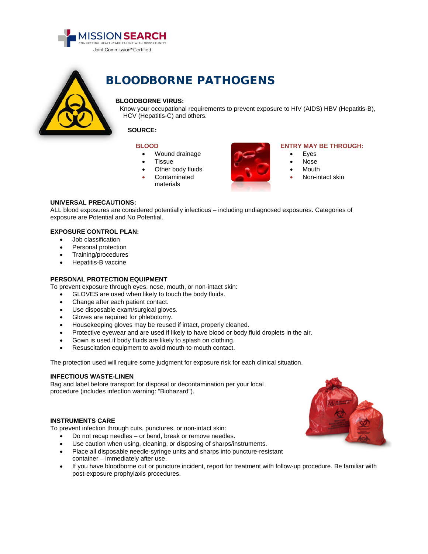



## BLOODBORNE PATHOGENS

#### **BLOODBORNE VIRUS:**

Know your occupational requirements to prevent exposure to HIV (AIDS) HBV (Hepatitis-B), HCV (Hepatitis-C) and others.

#### **SOURCE:**

#### **BLOOD**

- Wound drainage
- **Tissue**
- Other body fluids
- **Contaminated**
- materials



#### **ENTRY MAY BE THROUGH:**

- **Eyes**
- Nose
- **Mouth**
- Non-intact skin

#### **UNIVERSAL PRECAUTIONS:**

ALL blood exposures are considered potentially infectious – including undiagnosed exposures. Categories of exposure are Potential and No Potential.

#### **EXPOSURE CONTROL PLAN:**

- Job classification
- Personal protection
- Training/procedures
- Hepatitis-B vaccine

#### **PERSONAL PROTECTION EQUIPMENT**

To prevent exposure through eyes, nose, mouth, or non-intact skin:

• GLOVES are used when likely to touch the body fluids.

- Change after each patient contact.
- Use disposable exam/surgical gloves.
- Gloves are required for phlebotomy.
- Housekeeping gloves may be reused if intact, properly cleaned.
- Protective eyewear and are used if likely to have blood or body fluid droplets in the air.
- Gown is used if body fluids are likely to splash on clothing.
- Resuscitation equipment to avoid mouth-to-mouth contact.

The protection used will require some judgment for exposure risk for each clinical situation.

#### **INFECTIOUS WASTE-LINEN**

Bag and label before transport for disposal or decontamination per your local procedure (includes infection warning: "Biohazard").

#### **INSTRUMENTS CARE**

To prevent infection through cuts, punctures, or non-intact skin:

- Do not recap needles or bend, break or remove needles.
- Use caution when using, cleaning, or disposing of sharps/instruments.
- Place all disposable needle-syringe units and sharps into puncture-resistant container – immediately after use.
- If you have bloodborne cut or puncture incident, report for treatment with follow-up procedure. Be familiar with post-exposure prophylaxis procedures.

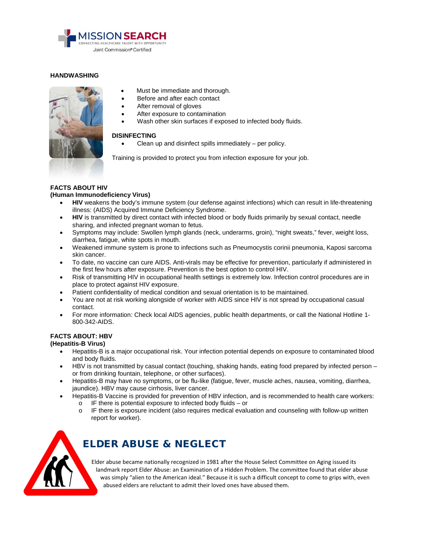

#### **HANDWASHING**



- Must be immediate and thorough.
- Before and after each contact
- After removal of gloves
- After exposure to contamination
- Wash other skin surfaces if exposed to infected body fluids.

#### **DISINFECTING**

Clean up and disinfect spills immediately  $-$  per policy.

Training is provided to protect you from infection exposure for your job.

#### **FACTS ABOUT HIV**

#### **(Human Immunodeficiency Virus)**

- **HIV** weakens the body's immune system (our defense against infections) which can result in life-threatening illness: (AIDS) Acquired Immune Deficiency Syndrome.
- **HIV** is transmitted by direct contact with infected blood or body fluids primarily by sexual contact, needle sharing, and infected pregnant woman to fetus.
- Symptoms may include: Swollen lymph glands (neck, underarms, groin), "night sweats," fever, weight loss, diarrhea, fatigue, white spots in mouth.
- Weakened immune system is prone to infections such as Pneumocystis corinii pneumonia, Kaposi sarcoma skin cancer.
- To date, no vaccine can cure AIDS. Anti-virals may be effective for prevention, particularly if administered in the first few hours after exposure. Prevention is the best option to control HIV.
- Risk of transmitting HIV in occupational health settings is extremely low. Infection control procedures are in place to protect against HIV exposure.
- Patient confidentiality of medical condition and sexual orientation is to be maintained.
- You are not at risk working alongside of worker with AIDS since HIV is not spread by occupational casual contact.
- For more information: Check local AIDS agencies, public health departments, or call the National Hotline 1- 800-342-AIDS.

#### **FACTS ABOUT: HBV**

**(Hepatitis-B Virus)**

- Hepatitis-B is a major occupational risk. Your infection potential depends on exposure to contaminated blood and body fluids.
- HBV is not transmitted by casual contact (touching, shaking hands, eating food prepared by infected person or from drinking fountain, telephone, or other surfaces).
- Hepatitis-B may have no symptoms, or be flu-like (fatigue, fever, muscle aches, nausea, vomiting, diarrhea, jaundice). HBV may cause cirrhosis, liver cancer.
- Hepatitis-B Vaccine is provided for prevention of HBV infection, and is recommended to health care workers:
	- o IF there is potential exposure to infected body fluids or
	- o IF there is exposure incident (also requires medical evaluation and counseling with follow-up written report for worker).



### ELDER ABUSE & NEGLECT

Elder abuse became nationally recognized in 1981 after the House Select Committee on Aging issued its landmark report Elder Abuse: an Examination of a Hidden Problem. The committee found that elder abuse was simply "alien to the American ideal." Because it is such a difficult concept to come to grips with, even abused elders are reluctant to admit their loved ones have abused them.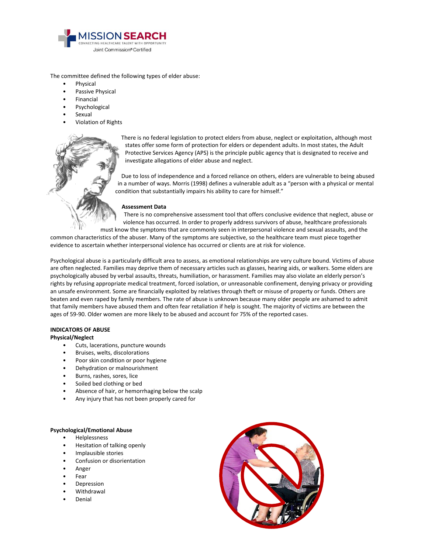

The committee defined the following types of elder abuse:

- **Physical**
- Passive Physical
- **Financial**
- **Psychological**
- **Sexual**
- Violation of Rights



There is no federal legislation to protect elders from abuse, neglect or exploitation, although most states offer some form of protection for elders or dependent adults. In most states, the Adult Protective Services Agency (APS) is the principle public agency that is designated to receive and investigate allegations of elder abuse and neglect.

Due to loss of independence and a forced reliance on others, elders are vulnerable to being abused in a number of ways. Morris (1998) defines a vulnerable adult as a "person with a physical or mental condition that substantially impairs his ability to care for himself."

#### **Assessment Data**

There is no comprehensive assessment tool that offers conclusive evidence that neglect, abuse or violence has occurred. In order to properly address survivors of abuse, healthcare professionals

must know the symptoms that are commonly seen in interpersonal violence and sexual assaults, and the common characteristics of the abuser. Many of the symptoms are subjective, so the healthcare team must piece together evidence to ascertain whether interpersonal violence has occurred or clients are at risk for violence.

Psychological abuse is a particularly difficult area to assess, as emotional relationships are very culture bound. Victims of abuse are often neglected. Families may deprive them of necessary articles such as glasses, hearing aids, or walkers. Some elders are psychologically abused by verbal assaults, threats, humiliation, or harassment. Families may also violate an elderly person's rights by refusing appropriate medical treatment, forced isolation, or unreasonable confinement, denying privacy or providing an unsafe environment. Some are financially exploited by relatives through theft or misuse of property or funds. Others are beaten and even raped by family members. The rate of abuse is unknown because many older people are ashamed to admit that family members have abused them and often fear retaliation if help is sought. The majority of victims are between the ages of 59-90. Older women are more likely to be abused and account for 75% of the reported cases.

#### **INDICATORS OF ABUSE**

#### **Physical/Neglect**

- Cuts, lacerations, puncture wounds
- Bruises, welts, discolorations
- Poor skin condition or poor hygiene
- Dehydration or malnourishment
- Burns, rashes, sores, lice
- Soiled bed clothing or bed
- Absence of hair, or hemorrhaging below the scalp
- Any injury that has not been properly cared for

#### **Psychological/Emotional Abuse**

- Helplessness
- Hesitation of talking openly
- Implausible stories
- Confusion or disorientation
- Anger
- **Fear**
- Depression
- **Withdrawal**
- Denial

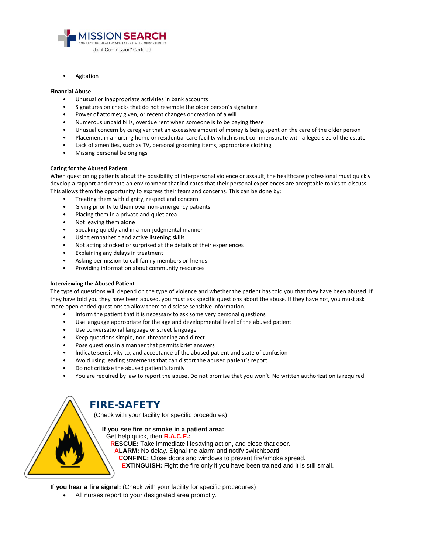

**Agitation** 

#### **Financial Abuse**

- Unusual or inappropriate activities in bank accounts
- Signatures on checks that do not resemble the older person's signature
- Power of attorney given, or recent changes or creation of a will
- Numerous unpaid bills, overdue rent when someone is to be paying these
- Unusual concern by caregiver that an excessive amount of money is being spent on the care of the older person
- Placement in a nursing home or residential care facility which is not commensurate with alleged size of the estate
- Lack of amenities, such as TV, personal grooming items, appropriate clothing
- Missing personal belongings

#### **Caring for the Abused Patient**

When questioning patients about the possibility of interpersonal violence or assault, the healthcare professional must quickly develop a rapport and create an environment that indicates that their personal experiences are acceptable topics to discuss. This allows them the opportunity to express their fears and concerns. This can be done by:

- Treating them with dignity, respect and concern
- Giving priority to them over non-emergency patients
- Placing them in a private and quiet area
- Not leaving them alone
- Speaking quietly and in a non-judgmental manner
- Using empathetic and active listening skills
- Not acting shocked or surprised at the details of their experiences
- Explaining any delays in treatment
- Asking permission to call family members or friends
- Providing information about community resources

#### **Interviewing the Abused Patient**

The type of questions will depend on the type of violence and whether the patient has told you that they have been abused. If they have told you they have been abused, you must ask specific questions about the abuse. If they have not, you must ask more open-ended questions to allow them to disclose sensitive information.

- Inform the patient that it is necessary to ask some very personal questions
- Use language appropriate for the age and developmental level of the abused patient
- Use conversational language or street language
- Keep questions simple, non-threatening and direct
- Pose questions in a manner that permits brief answers
- Indicate sensitivity to, and acceptance of the abused patient and state of confusion
- Avoid using leading statements that can distort the abused patient's report
- Do not criticize the abused patient's family
- You are required by law to report the abuse. Do not promise that you won't. No written authorization is required.

### FIRE-SAFETY

(Check with your facility for specific procedures)

**If you see fire or smoke in a patient area:**

#### Get help quick, then **R.A.C.E.:**

**RESCUE:** Take immediate lifesaving action, and close that door.

**ALARM:** No delay. Signal the alarm and notify switchboard.

**CONFINE:** Close doors and windows to prevent fire/smoke spread.

**EXTINGUISH:** Fight the fire only if you have been trained and it is still small.

**If you hear a fire signal:** (Check with your facility for specific procedures)

• All nurses report to your designated area promptly.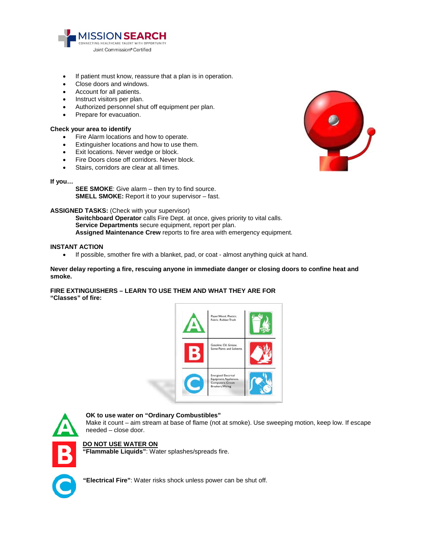

- If patient must know, reassure that a plan is in operation.
- Close doors and windows.
- Account for all patients.
- Instruct visitors per plan.
- Authorized personnel shut off equipment per plan.
- Prepare for evacuation.

#### **Check your area to identify**

- Fire Alarm locations and how to operate.
- Extinguisher locations and how to use them.
- Exit locations. Never wedge or block.
- Fire Doors close off corridors. Never block.
- Stairs, corridors are clear at all times.

#### **If you…**

**SEE SMOKE**: Give alarm – then try to find source. **SMELL SMOKE:** Report it to your supervisor – fast.

#### **ASSIGNED TASKS:** (Check with your supervisor)

**Switchboard Operator** calls Fire Dept. at once, gives priority to vital calls. **Service Departments** secure equipment, report per plan. **Assigned Maintenance Crew** reports to fire area with emergency equipment.

#### **INSTANT ACTION**

• If possible, smother fire with a blanket, pad, or coat - almost anything quick at hand.

**Never delay reporting a fire, rescuing anyone in immediate danger or closing doors to confine heat and smoke.**

#### **FIRE EXTINGUISHERS – LEARN TO USE THEM AND WHAT THEY ARE FOR "Classes" of fire:**





#### **OK to use water on "Ordinary Combustibles"**

Make it count – aim stream at base of flame (not at smoke). Use sweeping motion, keep low. If escape needed – close door.

#### **DO NOT USE WATER ON**

**"Flammable Liquids"**: Water splashes/spreads fire.

**"Electrical Fire"**: Water risks shock unless power can be shut off.

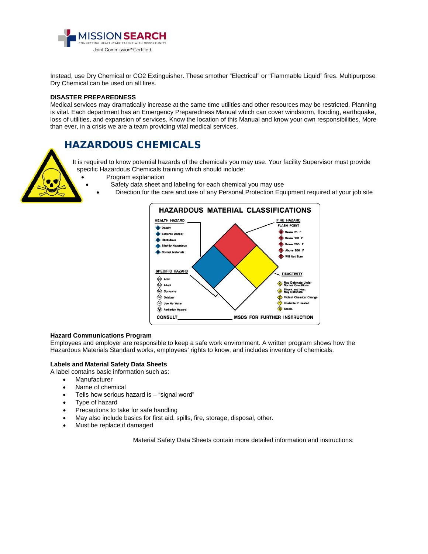

Instead, use Dry Chemical or CO2 Extinguisher. These smother "Electrical" or "Flammable Liquid" fires. Multipurpose Dry Chemical can be used on all fires.

#### **DISASTER PREPAREDNESS**

Medical services may dramatically increase at the same time utilities and other resources may be restricted. Planning is vital. Each department has an Emergency Preparedness Manual which can cover windstorm, flooding, earthquake, loss of utilities, and expansion of services. Know the location of this Manual and know your own responsibilities. More than ever, in a crisis we are a team providing vital medical services.

### HAZARDOUS CHEMICALS

It is required to know potential hazards of the chemicals you may use. Your facility Supervisor must provide specific Hazardous Chemicals training which should include:

- Program explanation
	- Safety data sheet and labeling for each chemical you may use
	- Direction for the care and use of any Personal Protection Equipment required at your job site



#### **Hazard Communications Program**

Employees and employer are responsible to keep a safe work environment. A written program shows how the Hazardous Materials Standard works, employees' rights to know, and includes inventory of chemicals.

#### **Labels and Material Safety Data Sheets**

A label contains basic information such as:

- **Manufacturer**
- Name of chemical
- Tells how serious hazard is "signal word"
- Type of hazard
- Precautions to take for safe handling
- May also include basics for first aid, spills, fire, storage, disposal, other.
- Must be replace if damaged

Material Safety Data Sheets contain more detailed information and instructions: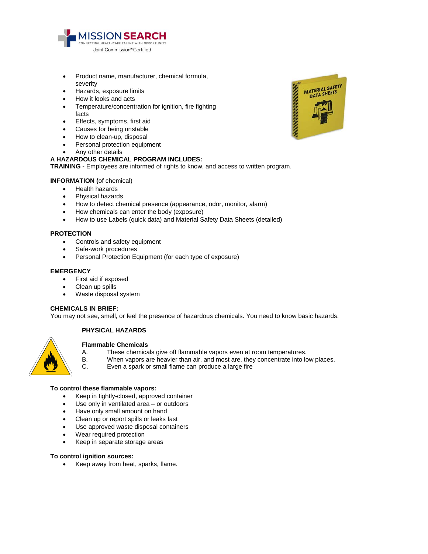

- Product name, manufacturer, chemical formula, severity
- Hazards, exposure limits
- How it looks and acts
- Temperature/concentration for ignition, fire fighting facts
- Effects, symptoms, first aid
- Causes for being unstable
- How to clean-up, disposal
- Personal protection equipment
- Any other details

#### **A HAZARDOUS CHEMICAL PROGRAM INCLUDES:**

**TRAINING -** Employees are informed of rights to know, and access to written program.

#### **INFORMATION (**of chemical)

- Health hazards
- Physical hazards
- How to detect chemical presence (appearance, odor, monitor, alarm)
- How chemicals can enter the body (exposure)
- How to use Labels (quick data) and Material Safety Data Sheets (detailed)

#### **PROTECTION**

- Controls and safety equipment
- Safe-work procedures
- Personal Protection Equipment (for each type of exposure)

#### **EMERGENCY**

- First aid if exposed
- Clean up spills
- Waste disposal system

#### **CHEMICALS IN BRIEF:**

You may not see, smell, or feel the presence of hazardous chemicals. You need to know basic hazards.

#### **PHYSICAL HAZARDS**



#### **Flammable Chemicals**

- A. These chemicals give off flammable vapors even at room temperatures.<br>B. When vapors are heavier than air, and most are, they concentrate into lo
- B. When vapors are heavier than air, and most are, they concentrate into low places.<br>C. Even a spark or small flame can produce a large fire
- Even a spark or small flame can produce a large fire

#### **To control these flammable vapors:**

- Keep in tightly-closed, approved container
- Use only in ventilated area or outdoors
- Have only small amount on hand
- Clean up or report spills or leaks fast
- Use approved waste disposal containers
- Wear required protection
- Keep in separate storage areas

#### **To control ignition sources:**

• Keep away from heat, sparks, flame.

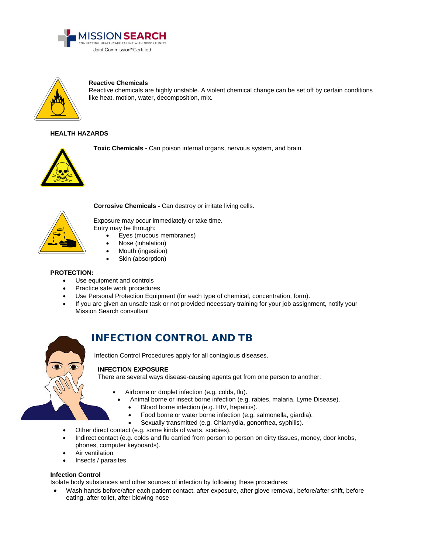



**Reactive Chemicals**

Reactive chemicals are highly unstable. A violent chemical change can be set off by certain conditions like heat, motion, water, decomposition, mix.

#### **HEALTH HAZARDS**



**Toxic Chemicals -** Can poison internal organs, nervous system, and brain.



**Corrosive Chemicals -** Can destroy or irritate living cells.

Exposure may occur immediately or take time. Entry may be through:

- Eyes (mucous membranes)
- Nose (inhalation)
- Mouth (ingestion)
- Skin (absorption)

#### **PROTECTION:**

- Use equipment and controls
- Practice safe work procedures
- Use Personal Protection Equipment (for each type of chemical, concentration, form).
- If you are given an unsafe task or not provided necessary training for your job assignment, notify your Mission Search consultant



### INFECTION CONTROL AND TB

Infection Control Procedures apply for all contagious diseases.

#### **INFECTION EXPOSURE**

There are several ways disease-causing agents get from one person to another:

- Airborne or droplet infection (e.g. [colds,](http://www.cdc.gov/germstopper/home_work_school.htm) flu).
- Animal borne or insect borne infection (e.g. rabies, malaria, Lyme Disease).
	- Blood borne infection (e.g. [HIV,](http://www.cdc.gov/hiv/) hepatitis).
		- [Food borne](http://www.cdc.gov/ncidod/diseases/food/index.htm) o[r water borne](http://www.cdc.gov/healthywater/disease/index.html) infection (e.g. salmonella, giardia).
		- Sexually transmitted (e.g. Chlamydia, gonorrhea, syphilis).
- Other direct contact (e.g. some kinds of warts, scabies).
- Indirect contact (e.g. colds and [flu](http://www.cdc.gov/germstopper/home_work_school.htm) carried from person to person on dirty tissues, money, door knobs, phones, computer keyboards).
- Air ventilation
- Insects / parasites

#### **Infection Control**

Isolate body substances and other sources of infection by following these procedures:

• Wash hands before/after each patient contact, after exposure, after glove removal, before/after shift, before eating, after toilet, after blowing nose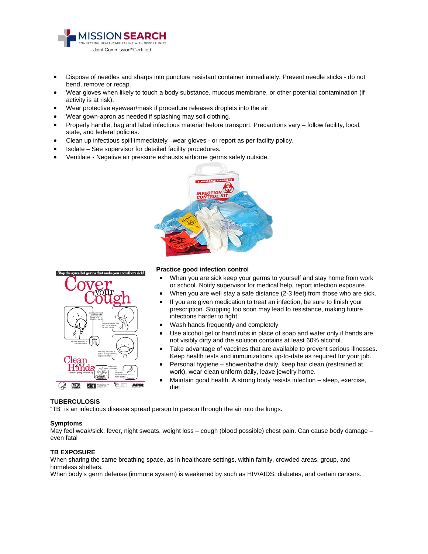

- Dispose of needles and sharps into puncture resistant container immediately. Prevent needle sticks do not bend, remove or recap.
- Wear gloves when likely to touch a body substance, mucous membrane, or other potential contamination (if activity is at risk).
- Wear protective eyewear/mask if procedure releases droplets into the air.
- Wear gown-apron as needed if splashing may soil clothing.
- Properly handle, bag and label infectious material before transport. Precautions vary follow facility, local, state, and federal policies.
- Clean up infectious spill immediately –wear gloves or report as per facility policy.
- Isolate See supervisor for detailed facility procedures.
- Ventilate Negative air pressure exhausts airborne germs safely outside.





#### **Practice good infection control**

- When you are sick keep your germs to yourself and stay home from work or school. Notify supervisor for medical help, report infection exposure.
- When you are well stay a safe distance (2-3 feet) from those who are sick.
- If you are given medication to treat an infection, be sure to finish your prescription. Stopping too soon may lead to resistance, making future infections harder to fight.
- Wash hands frequently and completely
- Use alcohol gel or hand rubs in place of soap and water only if hands are not visibly dirty and the solution contains at least 60% alcohol.
- Take advantage of vaccines that are available to prevent serious illnesses. Keep health tests and immunizations up-to-date as required for your job.
- Personal hygiene shower/bathe daily, keep hair clean (restrained at work), wear clean uniform daily, leave jewelry home.
- Maintain good health. A strong body resists infection sleep, exercise, diet.

#### **TUBERCULOSIS**

"TB" is an infectious disease spread person to person through the air into the lungs.

#### **Symptoms**

May feel weak/sick, fever, night sweats, weight loss – cough (blood possible) chest pain. Can cause body damage – even fatal

#### **TB EXPOSURE**

When sharing the same breathing space, as in healthcare settings, within family, crowded areas, group, and homeless shelters.

When body's germ defense (immune system) is weakened by such as HIV/AIDS, diabetes, and certain cancers.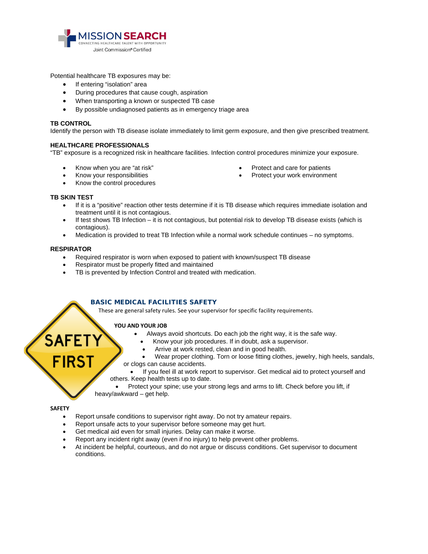

Potential healthcare TB exposures may be:

- If entering "isolation" area
- During procedures that cause cough, aspiration
- When transporting a known or suspected TB case
- By possible undiagnosed patients as in emergency triage area

#### **TB CONTROL**

Identify the person with TB disease isolate immediately to limit germ exposure, and then give prescribed treatment.

#### **HEALTHCARE PROFESSIONALS**

"TB" exposure is a recognized risk in healthcare facilities. Infection control procedures minimize your exposure.

• Know when you are "at risk"

- Protect and care for patients
- Protect your work environment

• Know your responsibilities • Know the control procedures

#### **TB SKIN TEST**

- If it is a "positive" reaction other tests determine if it is TB disease which requires immediate isolation and treatment until it is not contagious.
- If test shows TB Infection it is not contagious, but potential risk to develop TB disease exists (which is contagious).
- Medication is provided to treat TB Infection while a normal work schedule continues no symptoms.

#### **RESPIRATOR**

- Required respirator is worn when exposed to patient with known/suspect TB disease
- Respirator must be properly fitted and maintained
- TB is prevented by Infection Control and treated with medication.

#### BASIC MEDICAL FACILITIES SAFETY

These are general safety rules. See your supervisor for specific facility requirements.

#### **YOU AND YOUR JOB**

- Always avoid shortcuts. Do each job the right way, it is the safe way.
	- Know your job procedures. If in doubt, ask a supervisor.
	- Arrive at work rested, clean and in good health.
- Wear proper clothing. Torn or loose fitting clothes, jewelry, high heels, sandals, or clogs can cause accidents.

- If you feel ill at work report to supervisor. Get medical aid to protect yourself and others. Keep health tests up to date.
- Protect your spine; use your strong legs and arms to lift. Check before you lift, if heavy/awkward – get help.

#### **SAFETY**

- Report unsafe conditions to supervisor right away. Do not try amateur repairs.
- Report unsafe acts to your supervisor before someone may get hurt.
- Get medical aid even for small injuries. Delay can make it worse.
- Report any incident right away (even if no injury) to help prevent other problems.
- At incident be helpful, courteous, and do not argue or discuss conditions. Get supervisor to document conditions.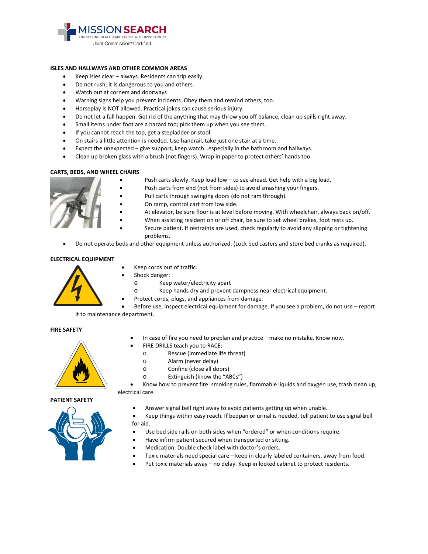

#### **ISLES AND HALLWAYS AND OTHER COMMON AREAS**

- Keep isles clear always. Residents can trip easily.
- Do not rush; it is dangerous to you and others.
- Watch out at corners and doorways
- Warning signs help you prevent incidents. Obey them and remind others, too.
- Horseplay is NOT allowed. Practical jokes can cause serious injury.
- Do not let a fall happen. Get rid of the anything that may throw you off balance, clean up spills right away.
- Small items under foot are a hazard too; pick them up when you see them.
- If you cannot reach the top, get a stepladder or stool.
- On stairs a little attention is needed. Use handrail, take just one stair at a time.
- Expect the unexpected give support, keep watch…especially in the bathroom and hallways.
- Clean up broken glass with a brush (not fingers). Wrap in paper to protect others' hands too.

#### **CARTS, BEDS, AND WHEEL CHAIRS**

- Push carts slowly. Keep load low to see ahead. Get help with a big load.
- Push carts from end (not from sides) to avoid smashing your fingers.
- Pull carts through swinging doors (do not ram through).
- On ramp, control cart from low side.
- At elevator, be sure floor is at level before moving. With wheelchair, always back on/off.
- When assisting resident on or off chair, be sure to set wheel brakes, foot rests up.
	- Secure patient. If restraints are used, check regularly to avoid any slipping or tightening problems.
- Do not operate beds and other equipment unless authorized. (Lock bed casters and store bed cranks as required).

#### **ELECTRICAL EQUIPMENT**



- Keep cords out of traffic.
- Shock danger:
	- o Keep water/electricity apart
	- o Keep hands dry and prevent dampness near electrical equipment.
- Protect cords, plugs, and appliances from damage.

Before use, inspect electrical equipment for damage. If you see a problem, do not use - report it to maintenance department.

#### **FIRE SAFETY**



- In case of fire you need to preplan and practice make no mistake. Know now.
	- FIRE DRILLS teach you to RACE:
	- o Rescue (immediate life threat)
	- o Alarm (never delay)
	- o Confine (close all doors)
	- o Extinguish (know the "ABCs")

• Know how to prevent fire: smoking rules, flammable liquids and oxygen use, trash clean up, electrical care.

#### **PATIENT SAFETY**



• Answer signal bell right away to avoid patients getting up when unable.

• Keep things within easy reach. If bedpan or urinal is needed, tell patient to use signal bell for aid.

- Use bed side rails on both sides when "ordered" or when conditions require.
- Have infirm patient secured when transported or sitting.
- Medication: Double check label with doctor's orders.
- Toxic materials need special care keep in clearly labeled containers, away from food.
- Put toxic materials away no delay. Keep in locked cabinet to protect residents.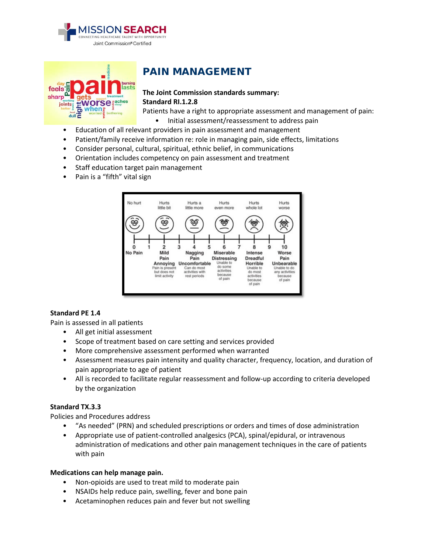



### PAIN MANAGEMENT

### **The Joint Commission standards summary: Standard RI.1.2.8**

Patients have a right to appropriate assessment and management of pain:

- Initial assessment/reassessment to address pain
- Education of all relevant providers in pain assessment and management
- Patient/family receive information re: role in managing pain, side effects, limitations
- Consider personal, cultural, spiritual, ethnic belief, in communications
- Orientation includes competency on pain assessment and treatment
- Staff education target pain management
- Pain is a "fifth" vital sign



#### **Standard PE 1.4**

Pain is assessed in all patients

- All get initial assessment
- Scope of treatment based on care setting and services provided
- More comprehensive assessment performed when warranted
- Assessment measures pain intensity and quality character, frequency, location, and duration of pain appropriate to age of patient
- All is recorded to facilitate regular reassessment and follow-up according to criteria developed by the organization

#### **Standard TX.3.3**

Policies and Procedures address

- "As needed" (PRN) and scheduled prescriptions or orders and times of dose administration
- Appropriate use of patient-controlled analgesics (PCA), spinal/epidural, or intravenous administration of medications and other pain management techniques in the care of patients with pain

#### **Medications can help manage pain.**

- Non-opioids are used to treat mild to moderate pain
- NSAIDs help reduce pain, swelling, fever and bone pain
- Acetaminophen reduces pain and fever but not swelling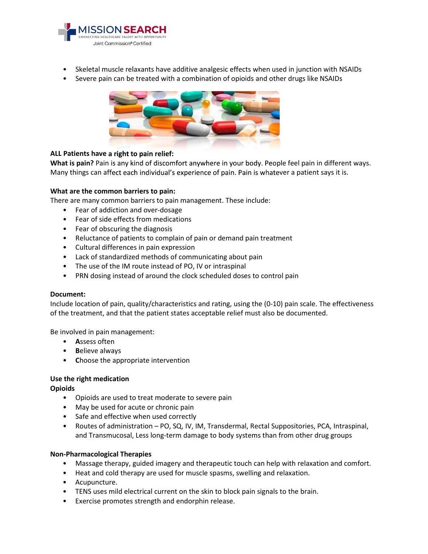

- Skeletal muscle relaxants have additive analgesic effects when used in junction with NSAIDs
- Severe pain can be treated with a combination of opioids and other drugs like NSAIDs



#### **ALL Patients have a right to pain relief:**

**What is pain?** Pain is any kind of discomfort anywhere in your body. People feel pain in different ways. Many things can affect each individual's experience of pain. Pain is whatever a patient says it is.

#### **What are the common barriers to pain:**

There are many common barriers to pain management. These include:

- Fear of addiction and over-dosage
- Fear of side effects from medications
- Fear of obscuring the diagnosis
- Reluctance of patients to complain of pain or demand pain treatment
- Cultural differences in pain expression
- Lack of standardized methods of communicating about pain
- The use of the IM route instead of PO, IV or intraspinal
- PRN dosing instead of around the clock scheduled doses to control pain

#### **Document:**

Include location of pain, quality/characteristics and rating, using the (0-10) pain scale. The effectiveness of the treatment, and that the patient states acceptable relief must also be documented.

Be involved in pain management:

- **A**ssess often
- **B**elieve always
- **C**hoose the appropriate intervention

#### **Use the right medication**

#### **Opioids**

- Opioids are used to treat moderate to severe pain
- May be used for acute or chronic pain
- Safe and effective when used correctly
- Routes of administration PO, SQ, IV, IM, Transdermal, Rectal Suppositories, PCA, Intraspinal, and Transmucosal, Less long-term damage to body systems than from other drug groups

#### **Non-Pharmacological Therapies**

- Massage therapy, guided imagery and therapeutic touch can help with relaxation and comfort.
- Heat and cold therapy are used for muscle spasms, swelling and relaxation.
- Acupuncture.
- TENS uses mild electrical current on the skin to block pain signals to the brain.
- Exercise promotes strength and endorphin release.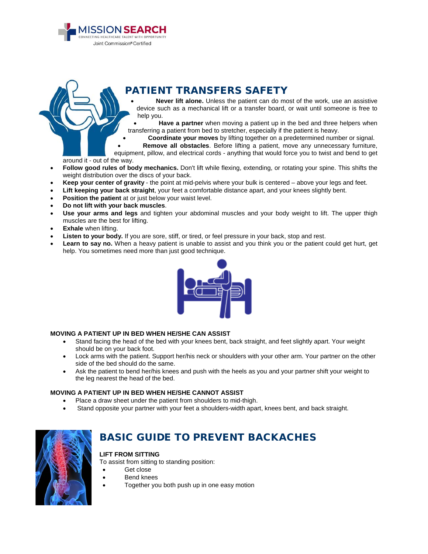PATIENT TRANSFERS SAFETY

• **Never lift alone.** Unless the patient can do most of the work, use an assistive device such as a mechanical lift or a transfer board, or wait until someone is free to help you.

Have a partner when moving a patient up in the bed and three helpers when transferring a patient from bed to stretcher, especially if the patient is heavy.

• **Coordinate your moves** by lifting together on a predetermined number or signal.

• **Remove all obstacles**. Before lifting a patient, move any unnecessary furniture, equipment, pillow, and electrical cords - anything that would force you to twist and bend to get

around it - out of the way.

- **Follow good rules of body mechanics.** Don't lift while flexing, extending, or rotating your spine. This shifts the weight distribution over the discs of your back.
- **Keep your center of gravity** the point at mid-pelvis where your bulk is centered above your legs and feet.
- **Lift keeping your back straight**, your feet a comfortable distance apart, and your knees slightly bent.
- **Position the patient** at or just below your waist level.

**SSION SEARCH** 

Joint Commission® Certified

- **Do not lift with your back muscles**.
- **Use your arms and legs** and tighten your abdominal muscles and your body weight to lift. The upper thigh muscles are the best for lifting.
- **Exhale** when lifting.
- Listen to your body. If you are sore, stiff, or tired, or feel pressure in your back, stop and rest.
- **Learn to say no.** When a heavy patient is unable to assist and you think you or the patient could get hurt, get help. You sometimes need more than just good technique.



#### **MOVING A PATIENT UP IN BED WHEN HE/SHE CAN ASSIST**

- Stand facing the head of the bed with your knees bent, back straight, and feet slightly apart. Your weight should be on your back foot.
- Lock arms with the patient. Support her/his neck or shoulders with your other arm. Your partner on the other side of the bed should do the same.
- Ask the patient to bend her/his knees and push with the heels as you and your partner shift your weight to the leg nearest the head of the bed.

#### **MOVING A PATIENT UP IN BED WHEN HE/SHE CANNOT ASSIST**

- Place a draw sheet under the patient from shoulders to mid-thigh.
- Stand opposite your partner with your feet a shoulders-width apart, knees bent, and back straight.



### BASIC GUIDE TO PREVENT BACKACHES

#### **LIFT FROM SITTING**

To assist from sitting to standing position:

- Get close
	- Bend knees
- Together you both push up in one easy motion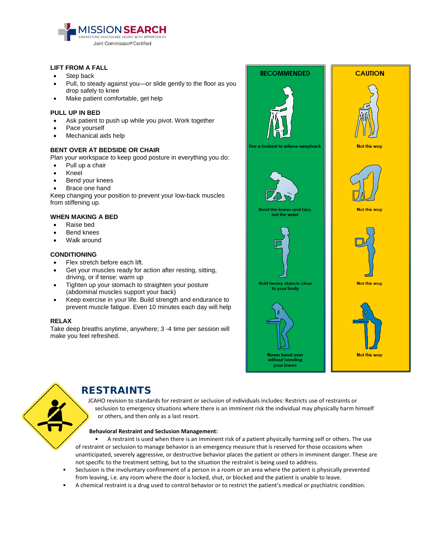

#### **LIFT FROM A FALL**

- Step back
- Pull, to steady against you—or slide gently to the floor as you drop safely to knee
- Make patient comfortable, get help

#### **PULL UP IN BED**

- Ask patient to push up while you pivot. Work together
- Pace yourself
- Mechanical aids help

#### **BENT OVER AT BEDSIDE OR CHAIR**

Plan your workspace to keep good posture in everything you do:

- Pull up a chair
- Kneel
- Bend your knees
- Brace one hand

Keep changing your position to prevent your low-back muscles from stiffening up.

#### **WHEN MAKING A BED**

- Raise bed
- **Bend knees**
- Walk around

#### **CONDITIONING**

- Flex stretch before each lift.
- Get vour muscles ready for action after resting, sitting, driving, or if tense: warm up
- Tighten up your stomach to straighten your posture (abdominal muscles support your back)
- Keep exercise in your life. Build strength and endurance to prevent muscle fatigue. Even 10 minutes each day will help

#### **RELAX**

Take deep breaths anytime, anywhere; 3 -4 time per session will make you feel refreshed.





### RESTRAINTS

JCAHO revision to standards for restraint or seclusion of individuals includes: Restricts use of restraints or seclusion to emergency situations where there is an imminent risk the individual may physically harm himself or others, and then only as a last resort.

#### **Behavioral Restraint and Seclusion Management:**

• A restraint is used when there is an imminent risk of a patient physically harming self or others. The use of restraint or seclusion to manage behavior is an emergency measure that is reserved for those occasions when unanticipated, severely aggressive, or destructive behavior places the patient or others in imminent danger. These are not specific to the treatment setting, but to the situation the restraint is being used to address.

- Seclusion is the involuntary confinement of a person in a room or an area where the patient is physically prevented from leaving, i.e. any room where the door is locked, shut, or blocked and the patient is unable to leave.
- A chemical restraint is a drug used to control behavior or to restrict the patient's medical or psychiatric condition.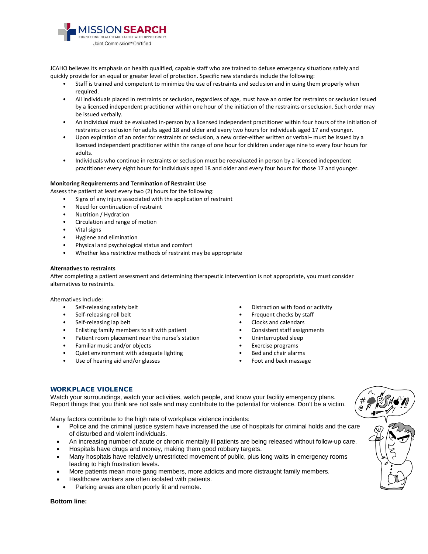

JCAHO believes its emphasis on health qualified, capable staff who are trained to defuse emergency situations safely and quickly provide for an equal or greater level of protection. Specific new standards include the following:

- Staff is trained and competent to minimize the use of restraints and seclusion and in using them properly when required.
- All individuals placed in restraints or seclusion, regardless of age, must have an order for restraints or seclusion issued by a licensed independent practitioner within one hour of the initiation of the restraints or seclusion. Such order may be issued verbally.
- An individual must be evaluated in-person by a licensed independent practitioner within four hours of the initiation of restraints or seclusion for adults aged 18 and older and every two hours for individuals aged 17 and younger.
- Upon expiration of an order for restraints or seclusion, a new order-either written or verbal– must be issued by a licensed independent practitioner within the range of one hour for children under age nine to every four hours for adults.
- Individuals who continue in restraints or seclusion must be reevaluated in person by a licensed independent practitioner every eight hours for individuals aged 18 and older and every four hours for those 17 and younger.

#### **Monitoring Requirements and Termination of Restraint Use**

Assess the patient at least every two (2) hours for the following:

- Signs of any injury associated with the application of restraint
- Need for continuation of restraint
- Nutrition / Hydration
- Circulation and range of motion
- Vital signs
- Hygiene and elimination
- Physical and psychological status and comfort
- Whether less restrictive methods of restraint may be appropriate

#### **Alternatives to restraints**

After completing a patient assessment and determining therapeutic intervention is not appropriate, you must consider alternatives to restraints.

Alternatives Include:

- Self-releasing safety belt
- Self-releasing roll belt
- Self-releasing lap belt
- Enlisting family members to sit with patient
- Patient room placement near the nurse's station
- Familiar music and/or objects
- Quiet environment with adequate lighting
- Use of hearing aid and/or glasses
- Distraction with food or activity
- Frequent checks by staff
- Clocks and calendars
- Consistent staff assignments
- Uninterrupted sleep
- Exercise programs
- Bed and chair alarms
- Foot and back massage

#### WORKPLACE VIOLENCE

Watch your surroundings, watch your activities, watch people, and know your facility emergency plans. Report things that you think are not safe and may contribute to the potential for violence. Don't be a victim.

Many factors contribute to the high rate of workplace violence incidents:

- Police and the criminal justice system have increased the use of hospitals for criminal holds and the care of disturbed and violent individuals.
- An increasing number of acute or chronic mentally ill patients are being released without follow-up care.
- Hospitals have drugs and money, making them good robbery targets.
- Many hospitals have relatively unrestricted movement of public, plus long waits in emergency rooms leading to high frustration levels.
- More patients mean more gang members, more addicts and more distraught family members.
- Healthcare workers are often isolated with patients.
- Parking areas are often poorly lit and remote.

#### **Bottom line:**

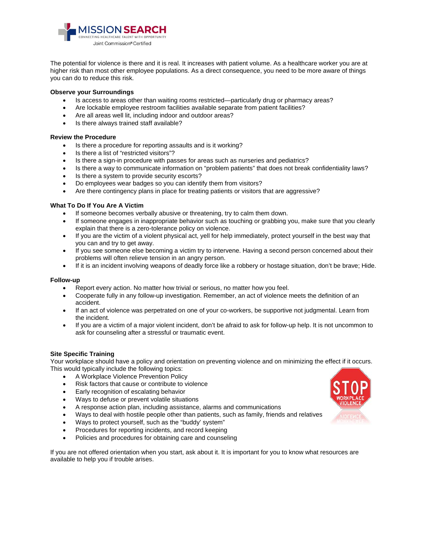

The potential for violence is there and it is real. It increases with patient volume. As a healthcare worker you are at higher risk than most other employee populations. As a direct consequence, you need to be more aware of things you can do to reduce this risk.

#### **Observe your Surroundings**

- Is access to areas other than waiting rooms restricted—particularly drug or pharmacy areas?
- Are lockable employee restroom facilities available separate from patient facilities?
- Are all areas well lit, including indoor and outdoor areas?
- Is there always trained staff available?

#### **Review the Procedure**

- Is there a procedure for reporting assaults and is it working?
- Is there a list of "restricted visitors"?
- Is there a sign-in procedure with passes for areas such as nurseries and pediatrics?
- Is there a way to communicate information on "problem patients" that does not break confidentiality laws?
- Is there a system to provide security escorts?
- Do employees wear badges so you can identify them from visitors?
- Are there contingency plans in place for treating patients or visitors that are aggressive?

#### **What To Do If You Are A Victim**

- If someone becomes verbally abusive or threatening, try to calm them down.
- If someone engages in inappropriate behavior such as touching or grabbing you, make sure that you clearly explain that there is a zero-tolerance policy on violence.
- If you are the victim of a violent physical act, yell for help immediately, protect yourself in the best way that you can and try to get away.
- If you see someone else becoming a victim try to intervene. Having a second person concerned about their problems will often relieve tension in an angry person.
- If it is an incident involving weapons of deadly force like a robbery or hostage situation, don't be brave; Hide.

#### **Follow-up**

- Report every action. No matter how trivial or serious, no matter how you feel.
- Cooperate fully in any follow-up investigation. Remember, an act of violence meets the definition of an accident.
- If an act of violence was perpetrated on one of your co-workers, be supportive not judgmental. Learn from the incident.
- If you are a victim of a major violent incident, don't be afraid to ask for follow-up help. It is not uncommon to ask for counseling after a stressful or traumatic event.

#### **Site Specific Training**

Your workplace should have a policy and orientation on preventing violence and on minimizing the effect if it occurs. This would typically include the following topics:

- A Workplace Violence Prevention Policy
- Risk factors that cause or contribute to violence
- Early recognition of escalating behavior
- Ways to defuse or prevent volatile situations
- A response action plan, including assistance, alarms and communications
- Ways to deal with hostile people other than patients, such as family, friends and relatives
- Ways to protect yourself, such as the "buddy' system"
- Procedures for reporting incidents, and record keeping
- Policies and procedures for obtaining care and counseling

If you are not offered orientation when you start, ask about it. It is important for you to know what resources are available to help you if trouble arises.